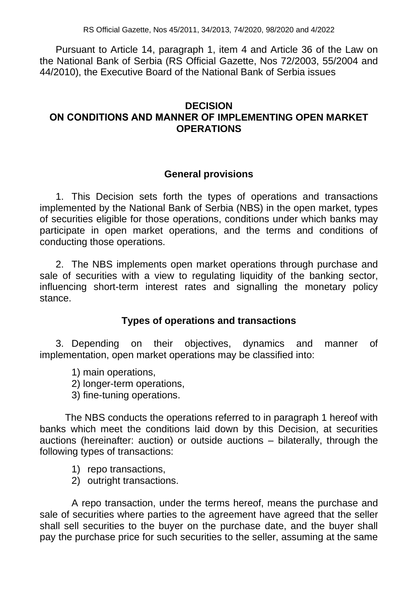RS Official Gazette, Nos 45/2011, 34/2013, 74/2020, 98/2020 and 4/2022

Pursuant to Article 14, paragraph 1, item 4 and Article 36 of the Law on the National Bank of Serbia (RS Official Gazette, Nos 72/2003, 55/2004 and 44/2010), the Executive Board of the National Bank of Serbia issues

# **DECISION ОN CONDITIONS AND MANNER OF IMPLEMENTING OPEN MARKET OPERATIONS**

## **General provisions**

1. This Decision sets forth the types of operations and transactions implemented by the National Bank of Serbia (NBS) in the open market, types of securities eligible for those operations, conditions under which banks may participate in open market operations, and the terms and conditions of conducting those operations.

2. The NBS implements open market operations through purchase and sale of securities with a view to regulating liquidity of the banking sector, influencing short-term interest rates and signalling the monetary policy stance.

# **Types of operations and transactions**

3. Depending on their objectives, dynamics and manner of implementation, open market operations may be classified into:

1) main operations,

2) longer-term operations,

3) fine-tuning operations.

The NBS conducts the operations referred to in paragraph 1 hereof with banks which meet the conditions laid down by this Decision, at securities auctions (hereinafter: auction) or outside auctions – bilaterally, through the following types of transactions:

- 1) repo transactions,
- 2) outright transactions.

A repo transaction, under the terms hereof, means the purchase and sale of securities where parties to the agreement have agreed that the seller shall sell securities to the buyer on the purchase date, and the buyer shall pay the purchase price for such securities to the seller, assuming at the same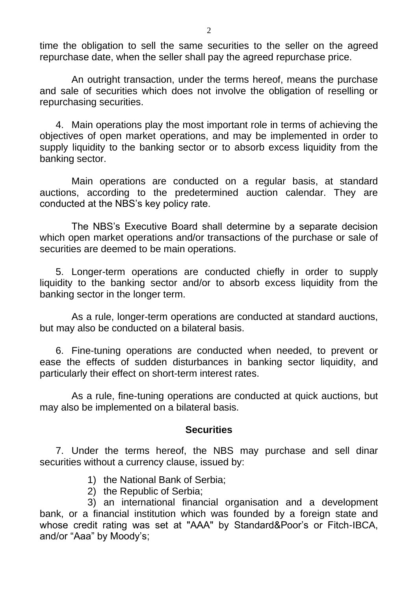time the obligation to sell the same securities to the seller on the agreed repurchase date, when the seller shall pay the agreed repurchase price.

An outright transaction, under the terms hereof, means the purchase and sale of securities which does not involve the obligation of reselling or repurchasing securities.

4. Main operations play the most important role in terms of achieving the objectives of open market operations, and may be implemented in order to supply liquidity to the banking sector or to absorb excess liquidity from the banking sector.

Main operations are conducted on a regular basis, at standard auctions, according to the predetermined auction calendar. They are conducted at the NBS's key policy rate.

The NBS's Executive Board shall determine by a separate decision which open market operations and/or transactions of the purchase or sale of securities are deemed to be main operations.

5. Longer-term operations are conducted chiefly in order to supply liquidity to the banking sector and/or to absorb excess liquidity from the banking sector in the longer term.

As a rule, longer-term operations are conducted at standard auctions, but may also be conducted on a bilateral basis.

6. Fine-tuning operations are conducted when needed, to prevent or ease the effects of sudden disturbances in banking sector liquidity, and particularly their effect on short-term interest rates.

As a rule, fine-tuning operations are conducted at quick auctions, but may also be implemented on a bilateral basis.

## **Securities**

7. Under the terms hereof, the NBS may purchase and sell dinar securities without a currency clause, issued by:

- 1) the National Bank of Serbia;
- 2) the Republic of Serbia;

3) an international financial organisation and a development bank, or a financial institution which was founded by a foreign state and whose credit rating was set at "AAA" by Standard&Poor's or Fitch-IBCA, and/or "Aaa" by Moody's;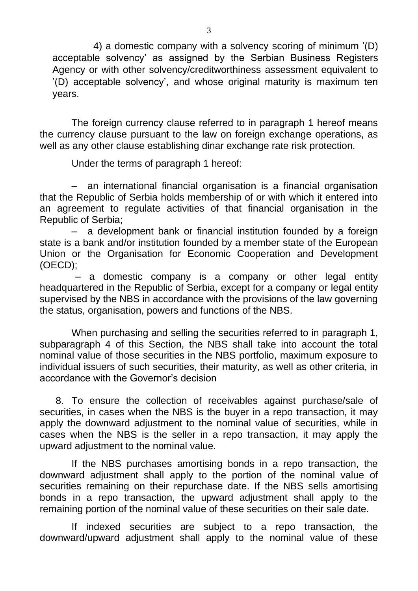4) a domestic company with a solvency scoring of minimum '(D) acceptable solvency' as assigned by the Serbian Business Registers Agency or with other solvency/creditworthiness assessment equivalent to '(D) acceptable solvency', and whose original maturity is maximum ten years.

The foreign currency clause referred to in paragraph 1 hereof means the currency clause pursuant to the law on foreign exchange operations, as well as any other clause establishing dinar exchange rate risk protection.

Under the terms of paragraph 1 hereof:

– an international financial organisation is a financial organisation that the Republic of Serbia holds membership of or with which it entered into an agreement to regulate activities of that financial organisation in the Republic of Serbia;

– a development bank or financial institution founded by a foreign state is a bank and/or institution founded by a member state of the European Union or the Organisation for Economic Cooperation and Development (OECD);

 – a domestic company is a company or other legal entity headquartered in the Republic of Serbia, except for a company or legal entity supervised by the NBS in accordance with the provisions of the law governing the status, organisation, powers and functions of the NBS.

When purchasing and selling the securities referred to in paragraph 1, subparagraph 4 of this Section, the NBS shall take into account the total nominal value of those securities in the NBS portfolio, maximum exposure to individual issuers of such securities, their maturity, as well as other criteria, in accordance with the Governor's decision

8. To ensure the collection of receivables against purchase/sale of securities, in cases when the NBS is the buyer in a repo transaction, it may apply the downward adjustment to the nominal value of securities, while in cases when the NBS is the seller in a repo transaction, it may apply the upward adjustment to the nominal value.

If the NBS purchases amortising bonds in a repo transaction, the downward adjustment shall apply to the portion of the nominal value of securities remaining on their repurchase date. If the NBS sells amortising bonds in a repo transaction, the upward adjustment shall apply to the remaining portion of the nominal value of these securities on their sale date.

If indexed securities are subject to a repo transaction, the downward/upward adjustment shall apply to the nominal value of these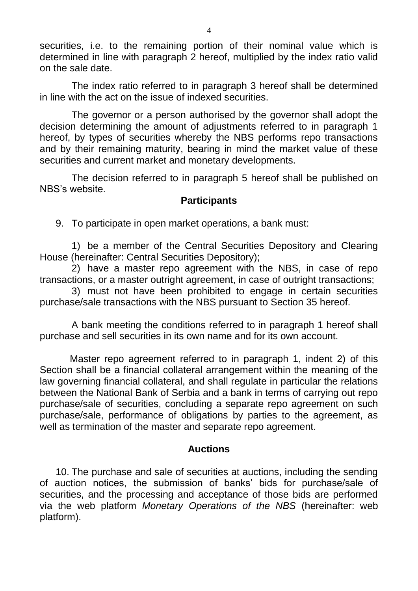securities, i.e. to the remaining portion of their nominal value which is determined in line with paragraph 2 hereof, multiplied by the index ratio valid on the sale date.

The index ratio referred to in paragraph 3 hereof shall be determined in line with the act on the issue of indexed securities.

The governor or a person authorised by the governor shall adopt the decision determining the amount of adjustments referred to in paragraph 1 hereof, by types of securities whereby the NBS performs repo transactions and by their remaining maturity, bearing in mind the market value of these securities and current market and monetary developments.

The decision referred to in paragraph 5 hereof shall be published on NBS's website.

## **Participants**

9. To participate in open market operations, a bank must:

1) be a member of the Central Securities Depository and Clearing House (hereinafter: Central Securities Depository);

2) have a master repo agreement with the NBS, in case of repo transactions, or a master outright agreement, in case of outright transactions;

3) must not have been prohibited to engage in certain securities purchase/sale transactions with the NBS pursuant to Section 35 hereof.

A bank meeting the conditions referred to in paragraph 1 hereof shall purchase and sell securities in its own name and for its own account.

 Master repo agreement referred to in paragraph 1, indent 2) of this Section shall be a financial collateral arrangement within the meaning of the law governing financial collateral, and shall regulate in particular the relations between the National Bank of Serbia and a bank in terms of carrying out repo purchase/sale of securities, concluding a separate repo agreement on such purchase/sale, performance of obligations by parties to the agreement, as well as termination of the master and separate repo agreement.

# **Auctions**

10. The purchase and sale of securities at auctions, including the sending of auction notices, the submission of banks' bids for purchase/sale of securities, and the processing and acceptance of those bids are performed via the web platform *Monetary Operations of the NBS* (hereinafter: web platform).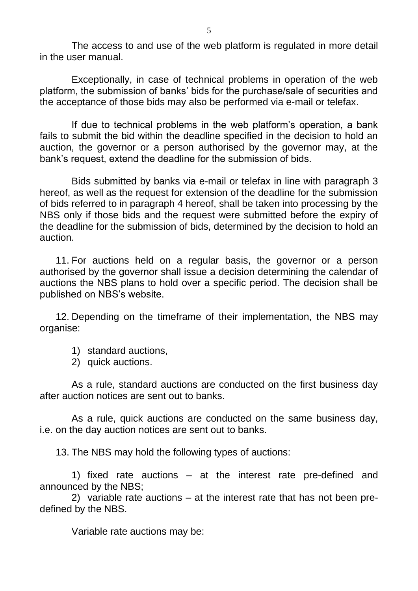The access to and use of the web platform is regulated in more detail in the user manual.

Exceptionally, in case of technical problems in operation of the web platform, the submission of banks' bids for the purchase/sale of securities and the acceptance of those bids may also be performed via e-mail or telefax.

If due to technical problems in the web platform's operation, a bank fails to submit the bid within the deadline specified in the decision to hold an auction, the governor or a person authorised by the governor may, at the bank's request, extend the deadline for the submission of bids.

Bids submitted by banks via e-mail or telefax in line with paragraph 3 hereof, as well as the request for extension of the deadline for the submission of bids referred to in paragraph 4 hereof, shall be taken into processing by the NBS only if those bids and the request were submitted before the expiry of the deadline for the submission of bids, determined by the decision to hold an auction.

11. For auctions held on a regular basis, the governor or a person authorised by the governor shall issue a decision determining the calendar of auctions the NBS plans to hold over a specific period. The decision shall be published on NBS's website.

12. Depending on the timeframe of their implementation, the NBS may organise:

- 1) standard auctions,
- 2) quick auctions.

As a rule, standard auctions are conducted on the first business day after auction notices are sent out to banks.

As a rule, quick auctions are conducted on the same business day, i.e. on the day auction notices are sent out to banks.

13. The NBS may hold the following types of auctions:

1) fixed rate auctions – at the interest rate pre-defined and announced by the NBS;

2) variable rate auctions – at the interest rate that has not been predefined by the NBS.

Variable rate auctions may be: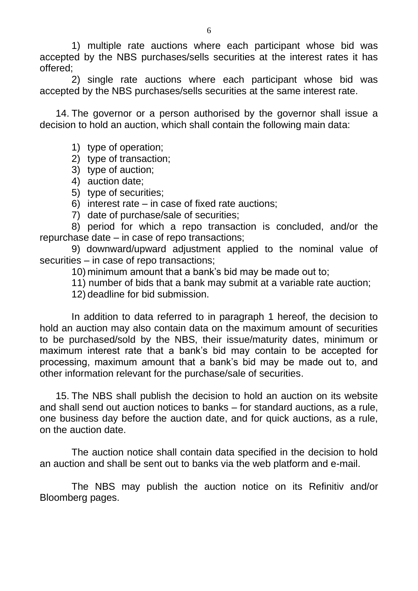1) multiple rate auctions where each participant whose bid was accepted by the NBS purchases/sells securities at the interest rates it has offered;

2) single rate auctions where each participant whose bid was accepted by the NBS purchases/sells securities at the same interest rate.

14. The governor or a person authorised by the governor shall issue a decision to hold an auction, which shall contain the following main data:

- 1) type of operation;
- 2) type of transaction;
- 3) type of auction;
- 4) auction date;
- 5) type of securities;
- 6) interest rate in case of fixed rate auctions;
- 7) date of purchase/sale of securities;

8) period for which a repo transaction is concluded, and/or the repurchase date – in case of repo transactions;

9) downward/upward adjustment applied to the nominal value of securities – in case of repo transactions;

10) minimum amount that a bank's bid may be made out to;

11) number of bids that a bank may submit at a variable rate auction;

12) deadline for bid submission.

In addition to data referred to in paragraph 1 hereof, the decision to hold an auction may also contain data on the maximum amount of securities to be purchased/sold by the NBS, their issue/maturity dates, minimum or maximum interest rate that a bank's bid may contain to be accepted for processing, maximum amount that a bank's bid may be made out to, and other information relevant for the purchase/sale of securities.

15. The NBS shall publish the decision to hold an auction on its website and shall send out auction notices to banks – for standard auctions, as a rule, one business day before the auction date, and for quick auctions, as a rule, on the auction date.

The auction notice shall contain data specified in the decision to hold an auction and shall be sent out to banks via the web platform and e-mail.

The NBS may publish the auction notice on its Refinitiv and/or Bloomberg pages.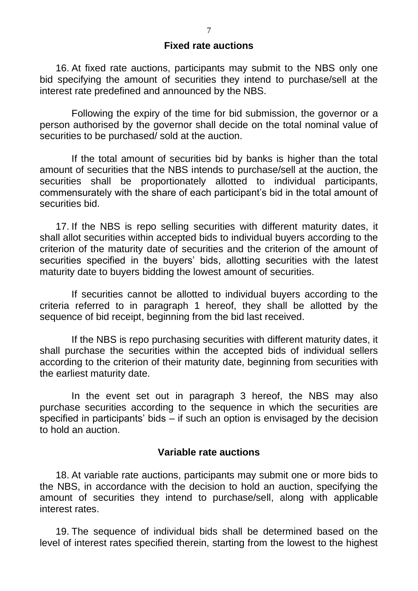### **Fixed rate auctions**

16. At fixed rate auctions, participants may submit to the NBS only one bid specifying the amount of securities they intend to purchase/sell at the interest rate predefined and announced by the NBS.

Following the expiry of the time for bid submission, the governor or a person authorised by the governor shall decide on the total nominal value of securities to be purchased/ sold at the auction.

If the total amount of securities bid by banks is higher than the total amount of securities that the NBS intends to purchase/sell at the auction, the securities shall be proportionately allotted to individual participants, commensurately with the share of each participant's bid in the total amount of securities bid.

17. If the NBS is repo selling securities with different maturity dates, it shall allot securities within accepted bids to individual buyers according to the criterion of the maturity date of securities and the criterion of the amount of securities specified in the buyers' bids, allotting securities with the latest maturity date to buyers bidding the lowest amount of securities.

If securities cannot be allotted to individual buyers according to the criteria referred to in paragraph 1 hereof, they shall be allotted by the sequence of bid receipt, beginning from the bid last received.

If the NBS is repo purchasing securities with different maturity dates, it shall purchase the securities within the accepted bids of individual sellers according to the criterion of their maturity date, beginning from securities with the earliest maturity date.

In the event set out in paragraph 3 hereof, the NBS may also purchase securities according to the sequence in which the securities are specified in participants' bids – if such an option is envisaged by the decision to hold an auction.

### **Variable rate auctions**

18. At variable rate auctions, participants may submit one or more bids to the NBS, in accordance with the decision to hold an auction, specifying the amount of securities they intend to purchase/sell, along with applicable interest rates.

19. The sequence of individual bids shall be determined based on the level of interest rates specified therein, starting from the lowest to the highest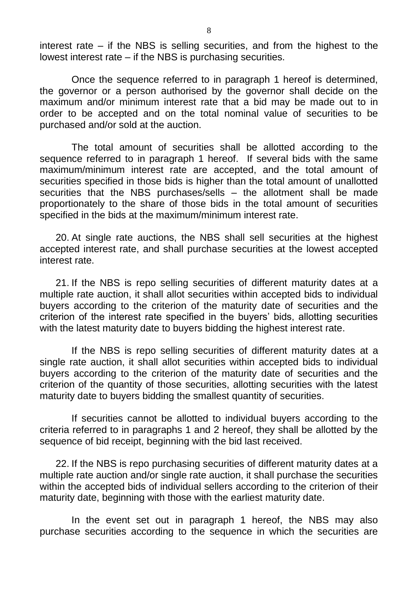interest rate – if the NBS is selling securities, and from the highest to the lowest interest rate – if the NBS is purchasing securities.

Once the sequence referred to in paragraph 1 hereof is determined, the governor or a person authorised by the governor shall decide on the maximum and/or minimum interest rate that a bid may be made out to in order to be accepted and on the total nominal value of securities to be purchased and/or sold at the auction.

The total amount of securities shall be allotted according to the sequence referred to in paragraph 1 hereof. If several bids with the same maximum/minimum interest rate are accepted, and the total amount of securities specified in those bids is higher than the total amount of unallotted securities that the NBS purchases/sells – the allotment shall be made proportionately to the share of those bids in the total amount of securities specified in the bids at the maximum/minimum interest rate.

20. At single rate auctions, the NBS shall sell securities at the highest accepted interest rate, and shall purchase securities at the lowest accepted interest rate.

21. If the NBS is repo selling securities of different maturity dates at a multiple rate auction, it shall allot securities within accepted bids to individual buyers according to the criterion of the maturity date of securities and the criterion of the interest rate specified in the buyers' bids, allotting securities with the latest maturity date to buyers bidding the highest interest rate.

If the NBS is repo selling securities of different maturity dates at a single rate auction, it shall allot securities within accepted bids to individual buyers according to the criterion of the maturity date of securities and the criterion of the quantity of those securities, allotting securities with the latest maturity date to buyers bidding the smallest quantity of securities.

If securities cannot be allotted to individual buyers according to the criteria referred to in paragraphs 1 and 2 hereof, they shall be allotted by the sequence of bid receipt, beginning with the bid last received.

22. If the NBS is repo purchasing securities of different maturity dates at a multiple rate auction and/or single rate auction, it shall purchase the securities within the accepted bids of individual sellers according to the criterion of their maturity date, beginning with those with the earliest maturity date.

In the event set out in paragraph 1 hereof, the NBS may also purchase securities according to the sequence in which the securities are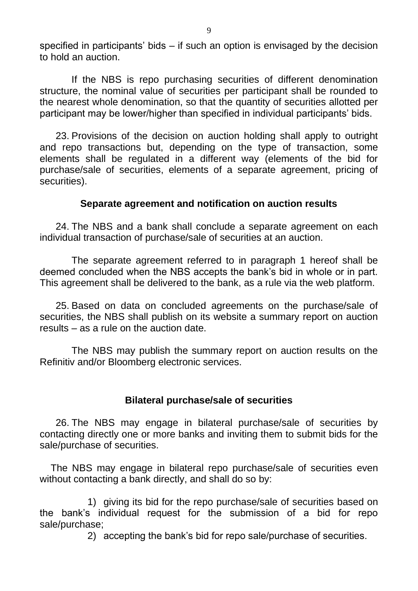specified in participants' bids – if such an option is envisaged by the decision to hold an auction.

If the NBS is repo purchasing securities of different denomination structure, the nominal value of securities per participant shall be rounded to the nearest whole denomination, so that the quantity of securities allotted per participant may be lower/higher than specified in individual participants' bids.

23. Provisions of the decision on auction holding shall apply to outright and repo transactions but, depending on the type of transaction, some elements shall be regulated in a different way (elements of the bid for purchase/sale of securities, elements of a separate agreement, pricing of securities).

## **Separate agreement and notification on auction results**

24. The NBS and a bank shall conclude a separate agreement on each individual transaction of purchase/sale of securities at an auction.

The separate agreement referred to in paragraph 1 hereof shall be deemed concluded when the NBS accepts the bank's bid in whole or in part. This agreement shall be delivered to the bank, as a rule via the web platform.

25. Based on data on concluded agreements on the purchase/sale of securities, the NBS shall publish on its website a summary report on auction results – as a rule on the auction date.

The NBS may publish the summary report on auction results on the Refinitiv and/or Bloomberg electronic services.

## **Bilateral purchase/sale of securities**

26. The NBS may engage in bilateral purchase/sale of securities by contacting directly one or more banks and inviting them to submit bids for the sale/purchase of securities.

 The NBS may engage in bilateral repo purchase/sale of securities even without contacting a bank directly, and shall do so by:

1) giving its bid for the repo purchase/sale of securities based on the bank's individual request for the submission of a bid for repo sale/purchase;

2) accepting the bank's bid for repo sale/purchase of securities.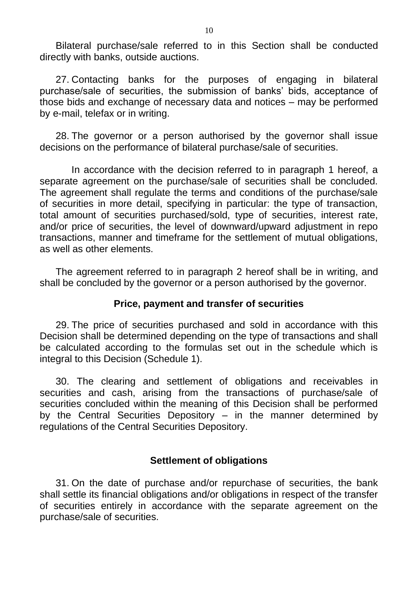Bilateral purchase/sale referred to in this Section shall be conducted directly with banks, outside auctions.

27. Contacting banks for the purposes of engaging in bilateral purchase/sale of securities, the submission of banks' bids, acceptance of those bids and exchange of necessary data and notices – may be performed by e-mail, telefax or in writing.

28. The governor or a person authorised by the governor shall issue decisions on the performance of bilateral purchase/sale of securities.

In accordance with the decision referred to in paragraph 1 hereof, a separate agreement on the purchase/sale of securities shall be concluded. The agreement shall regulate the terms and conditions of the purchase/sale of securities in more detail, specifying in particular: the type of transaction, total amount of securities purchased/sold, type of securities, interest rate, and/or price of securities, the level of downward/upward adjustment in repo transactions, manner and timeframe for the settlement of mutual obligations, as well as other elements.

The agreement referred to in paragraph 2 hereof shall be in writing, and shall be concluded by the governor or a person authorised by the governor.

# **Price, payment and transfer of securities**

29. The price of securities purchased and sold in accordance with this Decision shall be determined depending on the type of transactions and shall be calculated according to the formulas set out in the schedule which is integral to this Decision (Schedule 1).

30. The clearing and settlement of obligations and receivables in securities and cash, arising from the transactions of purchase/sale of securities concluded within the meaning of this Decision shall be performed by the Central Securities Depository  $-$  in the manner determined by regulations of the Central Securities Depository.

## **Settlement of obligations**

31. On the date of purchase and/or repurchase of securities, the bank shall settle its financial obligations and/or obligations in respect of the transfer of securities entirely in accordance with the separate agreement on the purchase/sale of securities.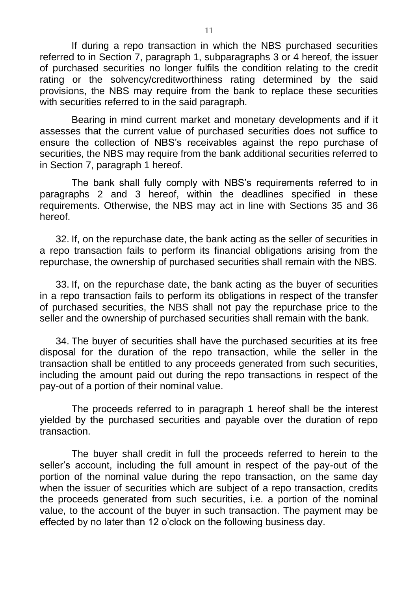If during a repo transaction in which the NBS purchased securities referred to in Section 7, paragraph 1, subparagraphs 3 or 4 hereof, the issuer of purchased securities no longer fulfils the condition relating to the credit rating or the solvency/creditworthiness rating determined by the said provisions, the NBS may require from the bank to replace these securities with securities referred to in the said paragraph.

Bearing in mind current market and monetary developments and if it assesses that the current value of purchased securities does not suffice to ensure the collection of NBS's receivables against the repo purchase of securities, the NBS may require from the bank additional securities referred to in Section 7, paragraph 1 hereof.

The bank shall fully comply with NBS's requirements referred to in paragraphs 2 and 3 hereof, within the deadlines specified in these requirements. Otherwise, the NBS may act in line with Sections 35 and 36 hereof.

32. If, on the repurchase date, the bank acting as the seller of securities in a repo transaction fails to perform its financial obligations arising from the repurchase, the ownership of purchased securities shall remain with the NBS.

33. If, on the repurchase date, the bank acting as the buyer of securities in a repo transaction fails to perform its obligations in respect of the transfer of purchased securities, the NBS shall not pay the repurchase price to the seller and the ownership of purchased securities shall remain with the bank.

34. The buyer of securities shall have the purchased securities at its free disposal for the duration of the repo transaction, while the seller in the transaction shall be entitled to any proceeds generated from such securities, including the amount paid out during the repo transactions in respect of the pay-out of a portion of their nominal value.

The proceeds referred to in paragraph 1 hereof shall be the interest yielded by the purchased securities and payable over the duration of repo transaction.

The buyer shall credit in full the proceeds referred to herein to the seller's account, including the full amount in respect of the pay-out of the portion of the nominal value during the repo transaction, on the same day when the issuer of securities which are subject of a repo transaction, credits the proceeds generated from such securities, i.e. a portion of the nominal value, to the account of the buyer in such transaction. The payment may be effected by no later than 12 o'clock on the following business day.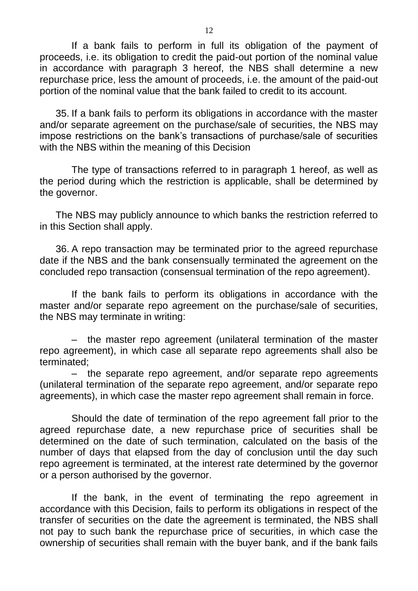If a bank fails to perform in full its obligation of the payment of proceeds, i.e. its obligation to credit the paid-out portion of the nominal value in accordance with paragraph 3 hereof, the NBS shall determine a new repurchase price, less the amount of proceeds, i.e. the amount of the paid-out portion of the nominal value that the bank failed to credit to its account.

35. If a bank fails to perform its obligations in accordance with the master and/or separate agreement on the purchase/sale of securities, the NBS may impose restrictions on the bank's transactions of purchase/sale of securities with the NBS within the meaning of this Decision

The type of transactions referred to in paragraph 1 hereof, as well as the period during which the restriction is applicable, shall be determined by the governor.

The NBS may publicly announce to which banks the restriction referred to in this Section shall apply.

36. A repo transaction may be terminated prior to the agreed repurchase date if the NBS and the bank consensually terminated the agreement on the concluded repo transaction (consensual termination of the repo agreement).

If the bank fails to perform its obligations in accordance with the master and/or separate repo agreement on the purchase/sale of securities, the NBS may terminate in writing:

– the master repo agreement (unilateral termination of the master repo agreement), in which case all separate repo agreements shall also be terminated;

– the separate repo agreement, and/or separate repo agreements (unilateral termination of the separate repo agreement, and/or separate repo agreements), in which case the master repo agreement shall remain in force.

Should the date of termination of the repo agreement fall prior to the agreed repurchase date, a new repurchase price of securities shall be determined on the date of such termination, calculated on the basis of the number of days that elapsed from the day of conclusion until the day such repo agreement is terminated, at the interest rate determined by the governor or a person authorised by the governor.

If the bank, in the event of terminating the repo agreement in accordance with this Decision, fails to perform its obligations in respect of the transfer of securities on the date the agreement is terminated, the NBS shall not pay to such bank the repurchase price of securities, in which case the ownership of securities shall remain with the buyer bank, and if the bank fails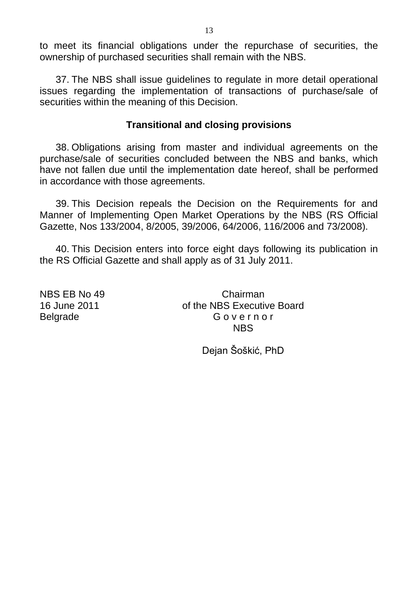to meet its financial obligations under the repurchase of securities, the ownership of purchased securities shall remain with the NBS.

37. The NBS shall issue guidelines to regulate in more detail operational issues regarding the implementation of transactions of purchase/sale of securities within the meaning of this Decision.

## **Transitional and closing provisions**

38. Obligations arising from master and individual agreements on the purchase/sale of securities concluded between the NBS and banks, which have not fallen due until the implementation date hereof, shall be performed in accordance with those agreements.

39. This Decision repeals the Decision on the Requirements for and Manner of Implementing Open Market Operations by the NBS (RS Official Gazette, Nos 133/2004, 8/2005, 39/2006, 64/2006, 116/2006 and 73/2008).

40. This Decision enters into force eight days following its publication in the RS Official Gazette and shall apply as of 31 July 2011.

NBS EB No 49 Chairman 16 June 2011 of the NBS Executive Board Belgrade Governor NBS

Dejan Šoškić, PhD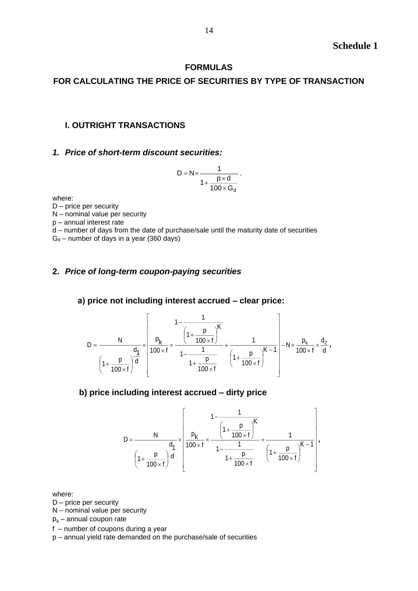### **FORMULAS**

## **FOR CALCULATING THE PRICE OF SECURITIES BY TYPE OF TRANSACTION**

### **I. OUTRIGHT TRANSACTIONS**

#### *1. Price of short-term discount securities:*

$$
D = N \times \frac{1}{1 + \frac{p \times d}{100 \times G_d}},
$$

where:

D – price per security

N – nominal value per security

p – annual interest rate

d – number of days from the date of purchase/sale until the maturity date of securities

 $G_d$  – number of days in a year (360 days)

### **2.** *Price of long-term coupon-paying securities*

#### **а) price not including interest accrued – clear price:**

$$
D = \frac{N}{\left(1 + \frac{p}{100 \times f}\right)^{\frac{d_1}{d}}} \times \left[\frac{1 - \frac{1}{\left(1 + \frac{p}{100 \times f}\right)^K}}{1 - \frac{1}{1 + \frac{p}{100 \times f}}} + \frac{1}{\left(1 + \frac{p}{100 \times f}\right)^{K - 1}}\right] - N \times \frac{p_k}{100 \times f} \times \frac{d_2}{d},
$$

### **b) price including interest accrued – dirty price**

$$
D = \frac{N}{\left(1 + \frac{p}{100 \times f}\right)^{\frac{d_1}{d}}} \times \left[\frac{1 - \frac{1}{\left(1 + \frac{p}{100 \times f}\right)^K}}{1 - \frac{1}{1 + \frac{p}{100 \times f}}} + \frac{1}{\left(1 + \frac{p}{100 \times f}\right)^{K - 1}}\right],
$$

where:

D – price per security

N – nominal value per security

 $p_k$  – annual coupon rate

f – number of coupons during a year

p – annual yield rate demanded on the purchase/sale of securities